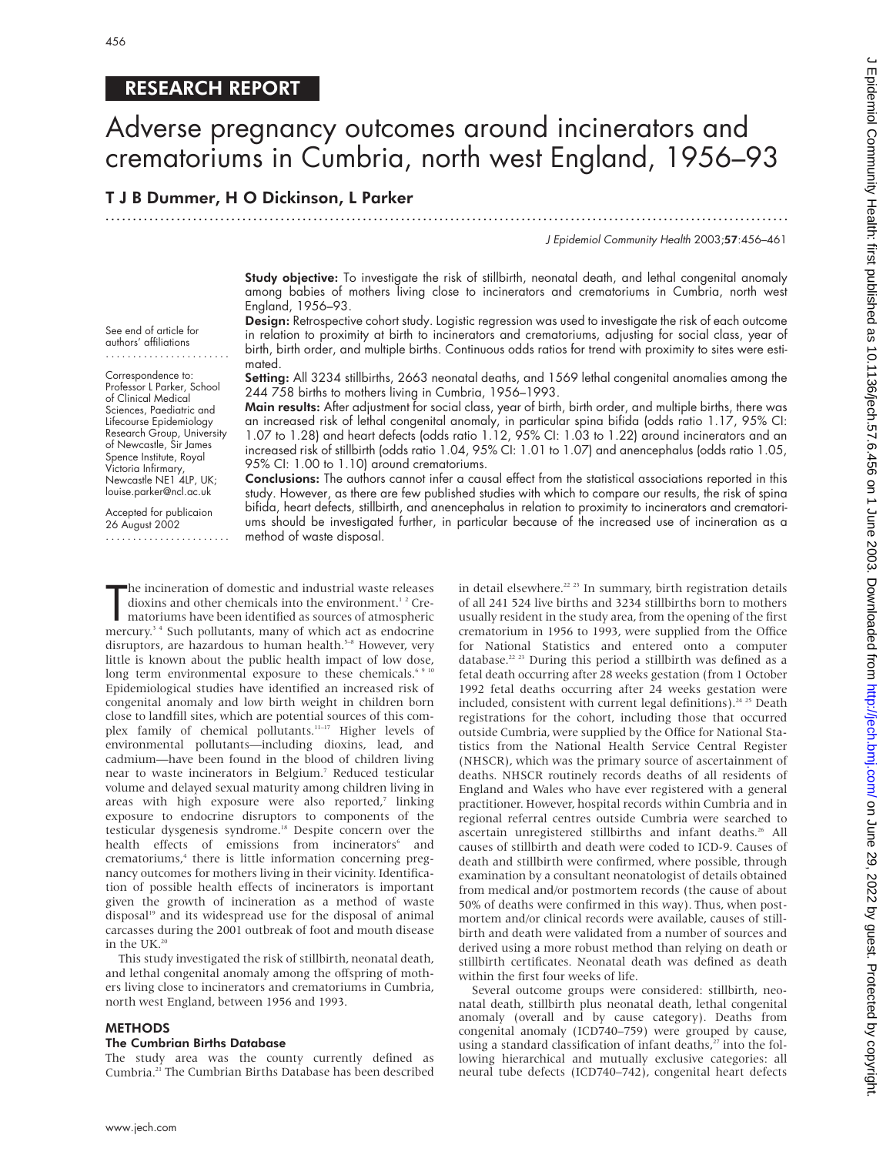# RESEARCH REPORT

# Adverse pregnancy outcomes around incinerators and crematoriums in Cumbria, north west England, 1956–93

.............................................................................................................................

# T J B Dummer, H O Dickinson, L Parker

J Epidemiol Community Health 2003;57:456–461

Study objective: To investigate the risk of stillbirth, neonatal death, and lethal congenital anomaly among babies of mothers living close to incinerators and crematoriums in Cumbria, north west England, 1956–93.

Design: Retrospective cohort study. Logistic regression was used to investigate the risk of each outcome in relation to proximity at birth to incinerators and crematoriums, adjusting for social class, year of birth, birth order, and multiple births. Continuous odds ratios for trend with proximity to sites were estimated.

Setting: All 3234 stillbirths, 2663 neonatal deaths, and 1569 lethal congenital anomalies among the 244 758 births to mothers living in Cumbria, 1956–1993.

Main results: After adjustment for social class, year of birth, birth order, and multiple births, there was an increased risk of lethal congenital anomaly, in particular spina bifida (odds ratio 1.17, 95% CI: 1.07 to 1.28) and heart defects (odds ratio 1.12, 95% CI: 1.03 to 1.22) around incinerators and an increased risk of stillbirth (odds ratio 1.04, 95% CI: 1.01 to 1.07) and anencephalus (odds ratio 1.05, 95% CI: 1.00 to 1.10) around crematoriums.

Conclusions: The authors cannot infer a causal effect from the statistical associations reported in this study. However, as there are few published studies with which to compare our results, the risk of spina bifida, heart defects, stillbirth, and anencephalus in relation to proximity to incinerators and crematoriums should be investigated further, in particular because of the increased use of incineration as a method of waste disposal.

The incineration of domestic and industrial waste releases<br>dioxins and other chemicals into the environment.<sup>12</sup> Cre-<br>matoriums have been identified as sources of atmospheric<br>mercury.<sup>34</sup> Such pollutants, many of which act he incineration of domestic and industrial waste releases dioxins and other chemicals into the environment.<sup>12</sup> Crematoriums have been identified as sources of atmospheric Epidemiological studies have identified an increased risk of plex family of chemical pollutants.11–17 Higher levels of testicular dysgenesis syndrome.<sup>18</sup> Despite concern over the health effects of emissions from incinerators<sup>6</sup> and carcasses during the 2001 outbreak of foot and mouth disease in the UK.<sup>20</sup>

This study investigated the risk of stillbirth, neonatal death, and lethal congenital anomaly among the offspring of mothers living close to incinerators and crematoriums in Cumbria, north west England, between 1956 and 1993.

# **METHODS**

# The Cumbrian Births Database

The study area was the county currently defined as Cumbria.21 The Cumbrian Births Database has been described in detail elsewhere.<sup>22-23</sup> In summary, birth registration details of all 241 524 live births and 3234 stillbirths born to mothers usually resident in the study area, from the opening of the first crematorium in 1956 to 1993, were supplied from the Office for National Statistics and entered onto a computer database.<sup>22 23</sup> During this period a stillbirth was defined as a fetal death occurring after 28 weeks gestation (from 1 October 1992 fetal deaths occurring after 24 weeks gestation were included, consistent with current legal definitions).<sup>24</sup> <sup>25</sup> Death registrations for the cohort, including those that occurred outside Cumbria, were supplied by the Office for National Statistics from the National Health Service Central Register (NHSCR), which was the primary source of ascertainment of deaths. NHSCR routinely records deaths of all residents of England and Wales who have ever registered with a general practitioner. However, hospital records within Cumbria and in regional referral centres outside Cumbria were searched to ascertain unregistered stillbirths and infant deaths.<sup>26</sup> All causes of stillbirth and death were coded to ICD-9. Causes of death and stillbirth were confirmed, where possible, through examination by a consultant neonatologist of details obtained from medical and/or postmortem records (the cause of about 50% of deaths were confirmed in this way). Thus, when postmortem and/or clinical records were available, causes of stillbirth and death were validated from a number of sources and derived using a more robust method than relying on death or stillbirth certificates. Neonatal death was defined as death within the first four weeks of life.

Several outcome groups were considered: stillbirth, neonatal death, stillbirth plus neonatal death, lethal congenital anomaly (overall and by cause category). Deaths from congenital anomaly (ICD740–759) were grouped by cause, using a standard classification of infant deaths, $27$  into the following hierarchical and mutually exclusive categories: all neural tube defects (ICD740–742), congenital heart defects

See end of article for authors' affiliations .......................

Correspondence to: Professor L Parker, School of Clinical Medical Sciences, Paediatric and Lifecourse Epidemiology Research Group, University of Newcastle, Sir James Spence Institute, Royal Victoria Infirmary, Newcastle NE1 4LP, UK; louise.parker@ncl.ac.uk

Accepted for publicaion 26 August 2002 .......................

disruptors, are hazardous to human health.<sup>5-8</sup> However, very little is known about the public health impact of low dose, long term environmental exposure to these chemicals. $6910$ congenital anomaly and low birth weight in children born close to landfill sites, which are potential sources of this comenvironmental pollutants—including dioxins, lead, and cadmium—have been found in the blood of children living near to waste incinerators in Belgium.7 Reduced testicular volume and delayed sexual maturity among children living in areas with high exposure were also reported,7 linking exposure to endocrine disruptors to components of the crematoriums,<sup>4</sup> there is little information concerning pregnancy outcomes for mothers living in their vicinity. Identification of possible health effects of incinerators is important given the growth of incineration as a method of waste disposal<sup>19</sup> and its widespread use for the disposal of animal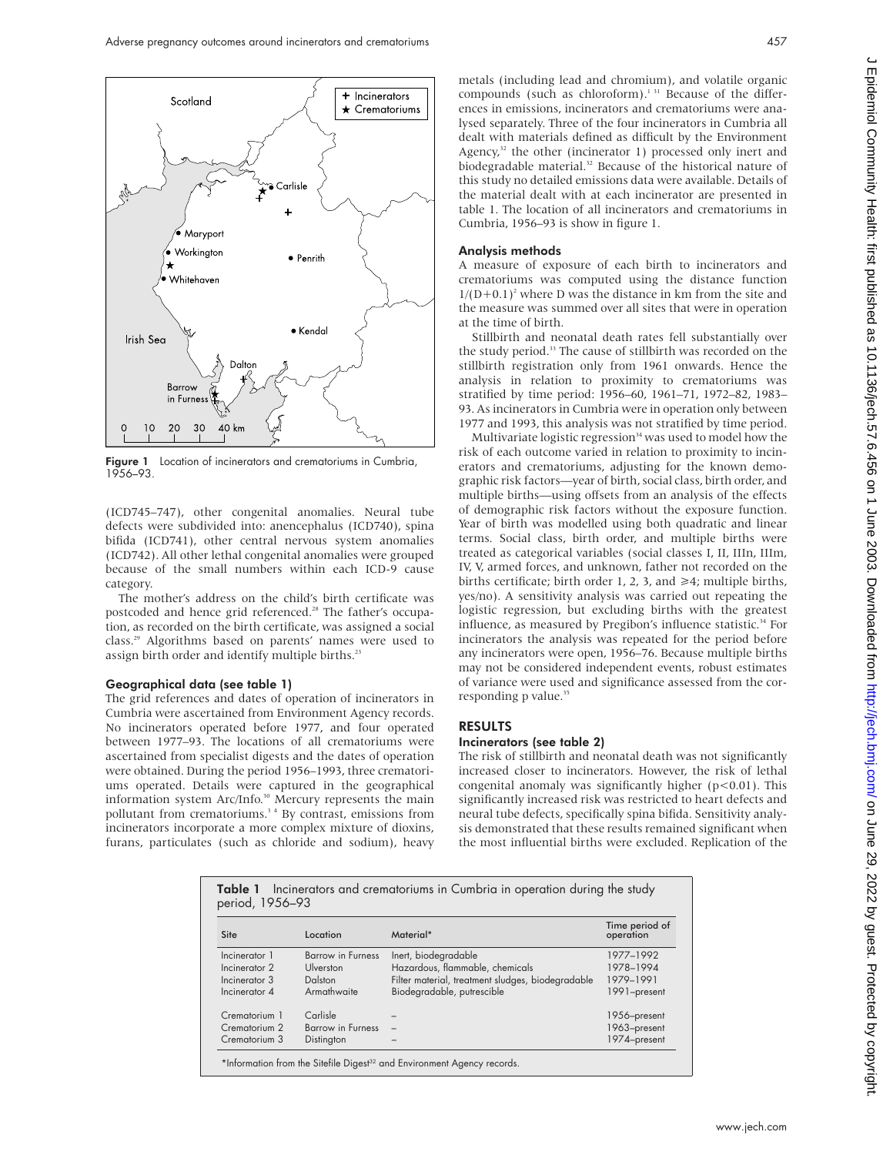

Figure 1 Location of incinerators and crematoriums in Cumbria, 1956–93.

(ICD745–747), other congenital anomalies. Neural tube defects were subdivided into: anencephalus (ICD740), spina bifida (ICD741), other central nervous system anomalies (ICD742). All other lethal congenital anomalies were grouped because of the small numbers within each ICD-9 cause category.

The mother's address on the child's birth certificate was postcoded and hence grid referenced.<sup>28</sup> The father's occupation, as recorded on the birth certificate, was assigned a social class.29 Algorithms based on parents' names were used to assign birth order and identify multiple births.<sup>23</sup>

# Geographical data (see table 1)

The grid references and dates of operation of incinerators in Cumbria were ascertained from Environment Agency records. No incinerators operated before 1977, and four operated between 1977–93. The locations of all crematoriums were ascertained from specialist digests and the dates of operation were obtained. During the period 1956–1993, three crematoriums operated. Details were captured in the geographical information system Arc/Info.30 Mercury represents the main pollutant from crematoriums.<sup>34</sup> By contrast, emissions from incinerators incorporate a more complex mixture of dioxins, furans, particulates (such as chloride and sodium), heavy

metals (including lead and chromium), and volatile organic compounds (such as chloroform).<sup>1 31</sup> Because of the differences in emissions, incinerators and crematoriums were analysed separately. Three of the four incinerators in Cumbria all dealt with materials defined as difficult by the Environment Agency, $32$  the other (incinerator 1) processed only inert and biodegradable material.<sup>32</sup> Because of the historical nature of this study no detailed emissions data were available. Details of the material dealt with at each incinerator are presented in table 1. The location of all incinerators and crematoriums in Cumbria, 1956–93 is show in figure 1.

# Analysis methods

A measure of exposure of each birth to incinerators and crematoriums was computed using the distance function  $1/(D+0.1)^2$  where D was the distance in km from the site and the measure was summed over all sites that were in operation at the time of birth.

Stillbirth and neonatal death rates fell substantially over the study period.<sup>33</sup> The cause of stillbirth was recorded on the stillbirth registration only from 1961 onwards. Hence the analysis in relation to proximity to crematoriums was stratified by time period: 1956–60, 1961–71, 1972–82, 1983– 93. As incinerators in Cumbria were in operation only between 1977 and 1993, this analysis was not stratified by time period.

Multivariate logistic regression<sup>34</sup> was used to model how the risk of each outcome varied in relation to proximity to incinerators and crematoriums, adjusting for the known demographic risk factors—year of birth, social class, birth order, and multiple births—using offsets from an analysis of the effects of demographic risk factors without the exposure function. Year of birth was modelled using both quadratic and linear terms. Social class, birth order, and multiple births were treated as categorical variables (social classes I, II, IIIn, IIIm, IV, V, armed forces, and unknown, father not recorded on the births certificate; birth order 1, 2, 3, and  $\geq 4$ ; multiple births, yes/no). A sensitivity analysis was carried out repeating the logistic regression, but excluding births with the greatest influence, as measured by Pregibon's influence statistic.<sup>34</sup> For incinerators the analysis was repeated for the period before any incinerators were open, 1956–76. Because multiple births may not be considered independent events, robust estimates of variance were used and significance assessed from the corresponding p value.<sup>35</sup>

#### RESULTS

#### Incinerators (see table 2)

The risk of stillbirth and neonatal death was not significantly increased closer to incinerators. However, the risk of lethal congenital anomaly was significantly higher  $(p<0.01)$ . This significantly increased risk was restricted to heart defects and neural tube defects, specifically spina bifida. Sensitivity analysis demonstrated that these results remained significant when the most influential births were excluded. Replication of the

**Table 1** Incinerators and crematoriums in Cumbria in operation during the study period, 1956–93

| Site          | Location                 | Material*                                         | Time period of<br>operation |
|---------------|--------------------------|---------------------------------------------------|-----------------------------|
| Incinerator 1 | <b>Barrow in Furness</b> | Inert, biodegradable                              | 1977-1992                   |
| Incinerator 2 | Ulverston                | Hazardous, flammable, chemicals                   | 1978-1994                   |
| Incinerator 3 | Dalston                  | Filter material, treatment sludges, biodegradable | 1979-1991                   |
| Incinerator 4 | Armathwaite              | Biodegradable, putrescible                        | 1991-present                |
| Crematorium 1 | Carlisle                 |                                                   | 1956-present                |
| Crematorium 2 | <b>Barrow in Furness</b> |                                                   | 1963-present                |
| Crematorium 3 | Distington               |                                                   | 1974-present                |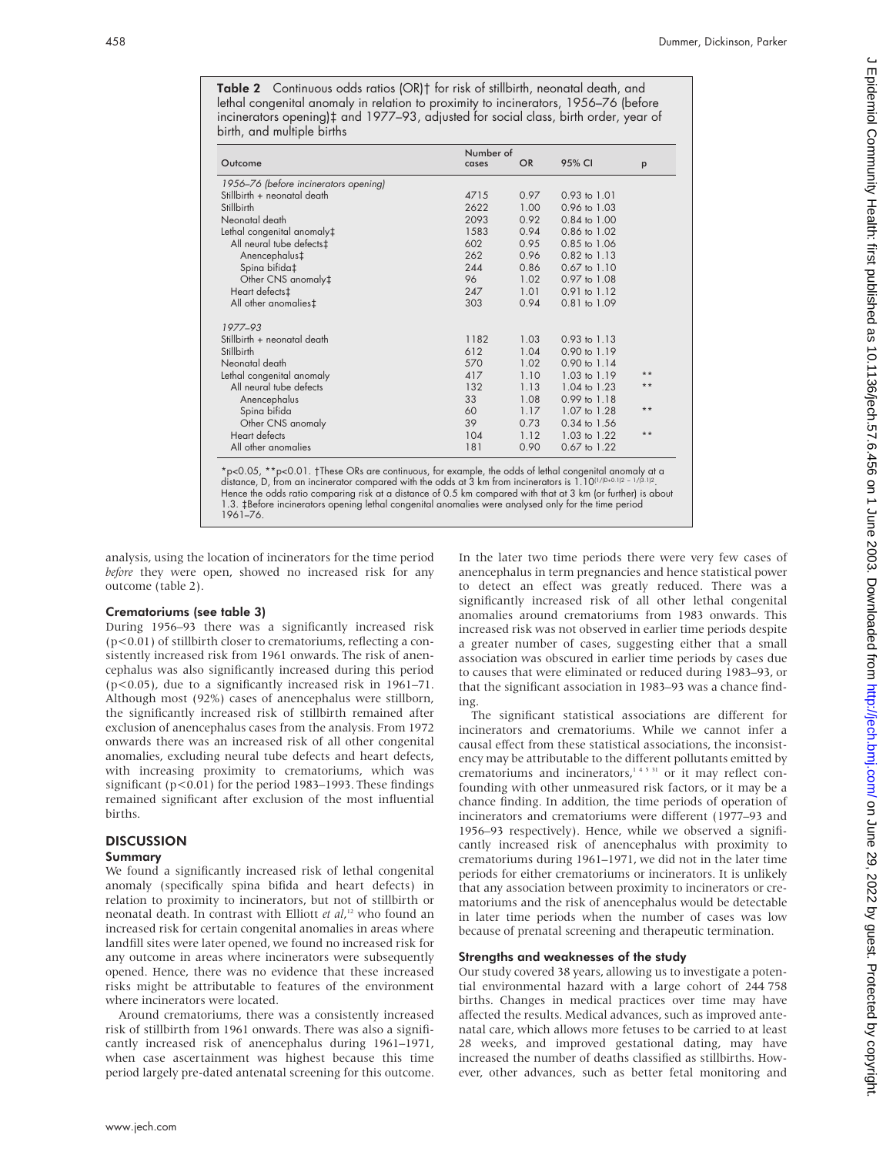Table 2 Continuous odds ratios (OR)<sup>†</sup> for risk of stillbirth, neonatal death, and lethal congenital anomaly in relation to proximity to incinerators, 1956–76 (before incinerators opening)‡ and 1977–93, adjusted for social class, birth order, year of birth, and multiple births

|                                       | Number of |           |                         |       |
|---------------------------------------|-----------|-----------|-------------------------|-------|
| Outcome                               | cases     | <b>OR</b> | 95% CI                  | p     |
| 1956–76 (before incinerators opening) |           |           |                         |       |
| Stillbirth + neonatal death           | 4715      | 0.97      | 0.93 to 1.01            |       |
| Stillbirth                            | 2622      | 1.00      | $0.96 \text{ to } 1.03$ |       |
| Neonatal death                        | 2093      | 0.92      | $0.84$ to $1.00$        |       |
| Lethal congenital anomaly‡            | 1583      | 0.94      | $0.86$ to $1.02$        |       |
| All neural tube defects‡              | 602       | 0.95      | 0.85 to 1.06            |       |
| Anencephalus <sup>#</sup>             | 262       | 0.96      | $0.82$ to $1.13$        |       |
| Spina bifida‡                         | 244       | 0.86      | $0.67$ to $1.10$        |       |
| Other CNS anomaly‡                    | 96        | 1.02      | $0.97$ to $1.08$        |       |
| Heart defects <sup>+</sup>            | 247       | 1.01      | $0.91$ to $1.12$        |       |
| All other anomalies <sup>#</sup>      | 303       | 0.94      | $0.81$ to $1.09$        |       |
| 1977-93                               |           |           |                         |       |
| Stillbirth + neonatal death           | 1182      | 1.03      | $0.93$ to $1.13$        |       |
| Stillbirth                            | 612       | 1.04      | 0.90 to 1.19            |       |
| Neonatal death                        | 570       | 1.02      | 0.90 to 1.14            |       |
| Lethal congenital anomaly             | 417       | 1.10      | 1.03 to 1.19            | $* *$ |
| All neural tube defects               | 132       | 1.13      | 1.04 to 1.23            | $***$ |
| Anencephalus                          | 33        | 1.08      | 0.99 to 1.18            |       |
| Spina bifida                          | 60        | 1.17      | 1.07 to 1.28            | $* *$ |
| Other CNS anomaly                     | 39        | 0.73      | 0.34 to 1.56            |       |
| <b>Heart defects</b>                  | 104       | 1.12      | 1.03 to 1.22            | $* *$ |
| All other anomalies                   | 181       | 0.90      | 0.67 to 1.22            |       |

\*p<0.05, \*\*p<0.01. †These ORs are continuous, for example, the odds of lethal congenital anomaly at a distance, D, from an incinerator compared with the odds at 3 km from incinerators is  $1.10^{1/10}$ Hence the odds ratio comparing risk at a distance of 0.5 km compared with that at 3 km (or further) is about 1.3. ‡Before incinerators opening lethal congenital anomalies were analysed only for the time period 1961–76.

analysis, using the location of incinerators for the time period *before* they were open, showed no increased risk for any outcome (table 2).

# Crematoriums (see table 3)

During 1956–93 there was a significantly increased risk (p<0.01) of stillbirth closer to crematoriums, reflecting a consistently increased risk from 1961 onwards. The risk of anencephalus was also significantly increased during this period (p<0.05), due to a significantly increased risk in 1961–71. Although most (92%) cases of anencephalus were stillborn, the significantly increased risk of stillbirth remained after exclusion of anencephalus cases from the analysis. From 1972 onwards there was an increased risk of all other congenital anomalies, excluding neural tube defects and heart defects, with increasing proximity to crematoriums, which was significant (p<0.01) for the period 1983–1993. These findings remained significant after exclusion of the most influential births.

# **DISCUSSION**

# Summary

We found a significantly increased risk of lethal congenital anomaly (specifically spina bifida and heart defects) in relation to proximity to incinerators, but not of stillbirth or neonatal death. In contrast with Elliott *et al*, <sup>12</sup> who found an increased risk for certain congenital anomalies in areas where landfill sites were later opened, we found no increased risk for any outcome in areas where incinerators were subsequently opened. Hence, there was no evidence that these increased risks might be attributable to features of the environment where incinerators were located.

Around crematoriums, there was a consistently increased risk of stillbirth from 1961 onwards. There was also a significantly increased risk of anencephalus during 1961–1971, when case ascertainment was highest because this time period largely pre-dated antenatal screening for this outcome.

In the later two time periods there were very few cases of anencephalus in term pregnancies and hence statistical power to detect an effect was greatly reduced. There was a significantly increased risk of all other lethal congenital anomalies around crematoriums from 1983 onwards. This increased risk was not observed in earlier time periods despite a greater number of cases, suggesting either that a small association was obscured in earlier time periods by cases due to causes that were eliminated or reduced during 1983–93, or that the significant association in 1983–93 was a chance finding.

The significant statistical associations are different for incinerators and crematoriums. While we cannot infer a causal effect from these statistical associations, the inconsistency may be attributable to the different pollutants emitted by crematoriums and incinerators, $14531$  or it may reflect confounding with other unmeasured risk factors, or it may be a chance finding. In addition, the time periods of operation of incinerators and crematoriums were different (1977–93 and 1956–93 respectively). Hence, while we observed a significantly increased risk of anencephalus with proximity to crematoriums during 1961–1971, we did not in the later time periods for either crematoriums or incinerators. It is unlikely that any association between proximity to incinerators or crematoriums and the risk of anencephalus would be detectable in later time periods when the number of cases was low because of prenatal screening and therapeutic termination.

#### Strengths and weaknesses of the study

Our study covered 38 years, allowing us to investigate a potential environmental hazard with a large cohort of 244 758 births. Changes in medical practices over time may have affected the results. Medical advances, such as improved antenatal care, which allows more fetuses to be carried to at least 28 weeks, and improved gestational dating, may have increased the number of deaths classified as stillbirths. However, other advances, such as better fetal monitoring and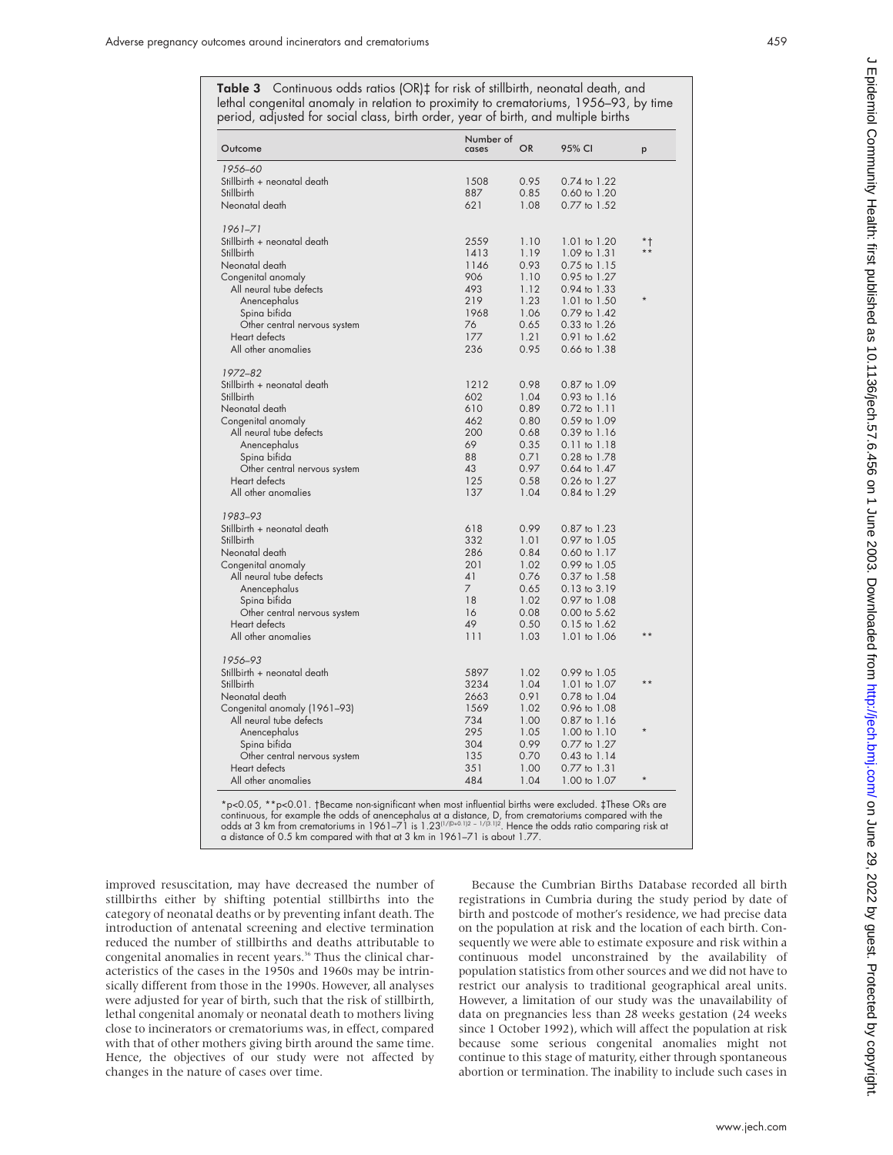Table 3 Continuous odds ratios (OR)<sup>‡</sup> for risk of stillbirth, neonatal death, and lethal congenital anomaly in relation to proximity to crematoriums, 1956–93, by time period, adjusted for social class, birth order, year of birth, and multiple births

|                                                    |              | 95% CI                       | p            |
|----------------------------------------------------|--------------|------------------------------|--------------|
| 1956-60                                            |              |                              |              |
| Stillbirth + neonatal death<br>1508                | 0.95         | 0.74 to 1.22                 |              |
| Stillbirth<br>887                                  | 0.85         | 0.60 to 1.20                 |              |
| Neonatal death<br>621                              | 1.08         | 0.77 to 1.52                 |              |
| $1961 - 71$                                        |              |                              |              |
| Stillbirth + neonatal death<br>2559                | 1.10         | 1.01 to 1.20                 | $*$ †        |
| Stillbirth<br>1413                                 | 1.19         | 1.09 to 1.31                 | $\star\star$ |
| Neonatal death<br>1146                             | 0.93         | 0.75 to 1.15                 |              |
| 906<br>Congenital anomaly                          | 1.10         | 0.95 to 1.27                 |              |
| 493<br>All neural tube defects<br>219              | 1.12<br>1.23 | 0.94 to 1.33                 | $\star$      |
| Anencephalus<br>1968<br>Spina bifida               | 1.06         | 1.01 to 1.50<br>0.79 to 1.42 |              |
| Other central nervous system<br>76                 | 0.65         | 0.33 to 1.26                 |              |
| 177<br><b>Heart defects</b>                        | 1.21         | 0.91 to 1.62                 |              |
| All other anomalies<br>236                         | 0.95         | $0.66$ to $1.38$             |              |
|                                                    |              |                              |              |
| 1972-82<br>Stillbirth + neonatal death<br>1212     | 0.98         | 0.87 to 1.09                 |              |
| Stillbirth<br>602                                  | 1.04         | $0.93$ to $1.16$             |              |
| Neonatal death<br>610                              | 0.89         | $0.72$ to $1.11$             |              |
| Congenital anomaly<br>462                          | 0.80         | 0.59 to 1.09                 |              |
| All neural tube defects<br>200                     | 0.68         | 0.39 to 1.16                 |              |
| 69<br>Anencephalus                                 | 0.35         | $0.11$ to $1.18$             |              |
| 88<br>Spina bifida                                 | 0.71         | 0.28 to 1.78                 |              |
| 43<br>Other central nervous system                 | 0.97         | 0.64 to 1.47                 |              |
| Heart defects<br>125                               | 0.58         | 0.26 to 1.27                 |              |
| All other anomalies<br>137                         | 1.04         | 0.84 to 1.29                 |              |
| 1983-93                                            |              |                              |              |
| Stillbirth + neonatal death<br>618                 | 0.99         | 0.87 to 1.23                 |              |
| 332<br>Stillbirth                                  | 1.01         | 0.97 to 1.05                 |              |
| Neonatal death<br>286                              | 0.84         | 0.60 to 1.17                 |              |
| 201<br>Congenital anomaly                          | 1.02         | 0.99 to 1.05                 |              |
| All neural tube defects<br>41<br>$\overline{7}$    | 0.76<br>0.65 | 0.37 to 1.58<br>0.13 to 3.19 |              |
| Anencephalus<br>18                                 | 1.02         | 0.97 to 1.08                 |              |
| Spina bifida<br>16<br>Other central nervous system | 0.08         | $0.00$ to $5.62$             |              |
| <b>Heart defects</b><br>49                         | 0.50         | 0.15 to 1.62                 |              |
| All other anomalies<br>111                         | 1.03         | 1.01 to 1.06                 | $* *$        |
| 1956-93                                            |              |                              |              |
| Stillbirth + neonatal death<br>5897                | 1.02         | 0.99 to 1.05                 |              |
| Stillbirth<br>3234                                 | 1.04         | 1.01 to 1.07                 | $* *$        |
| Neonatal death<br>2663                             | 0.91         | 0.78 to 1.04                 |              |
| 1569<br>Congenital anomaly (1961–93)               | 1.02         | 0.96 to 1.08                 |              |
| All neural tube defects<br>734                     | 1.00         | $0.87$ to $1.16$             |              |
| 295<br>Anencephalus                                | 1.05         | 1.00 to 1.10                 | $\star$      |
| Spina bifida<br>304                                | 0.99         | 0.77 to 1.27                 |              |
| 135<br>Other central nervous system                | 0.70         | $0.43$ to $1.14$             |              |
| Heart defects<br>351                               | 1.00         | $0.77$ to $1.31$             | $\star$      |
| 484<br>All other anomalies                         | 1.04         | 1.00 to 1.07                 |              |

\*p<0.05, \*\*p<0.01. †Became non-significant when most influential births were excluded. ‡These ORs are<br>continuous, for example the odds of anencephalus at a distance, D, from crematoriums compared with the<br>odds at 3 km from a distance of 0.5 km compared with that at 3 km in 1961–71 is about 1.77.

improved resuscitation, may have decreased the number of stillbirths either by shifting potential stillbirths into the category of neonatal deaths or by preventing infant death. The introduction of antenatal screening and elective termination reduced the number of stillbirths and deaths attributable to congenital anomalies in recent years.<sup>36</sup> Thus the clinical characteristics of the cases in the 1950s and 1960s may be intrinsically different from those in the 1990s. However, all analyses were adjusted for year of birth, such that the risk of stillbirth, lethal congenital anomaly or neonatal death to mothers living close to incinerators or crematoriums was, in effect, compared with that of other mothers giving birth around the same time. Hence, the objectives of our study were not affected by changes in the nature of cases over time.

Because the Cumbrian Births Database recorded all birth registrations in Cumbria during the study period by date of birth and postcode of mother's residence, we had precise data on the population at risk and the location of each birth. Consequently we were able to estimate exposure and risk within a continuous model unconstrained by the availability of population statistics from other sources and we did not have to restrict our analysis to traditional geographical areal units. However, a limitation of our study was the unavailability of data on pregnancies less than 28 weeks gestation (24 weeks since 1 October 1992), which will affect the population at risk because some serious congenital anomalies might not continue to this stage of maturity, either through spontaneous abortion or termination. The inability to include such cases in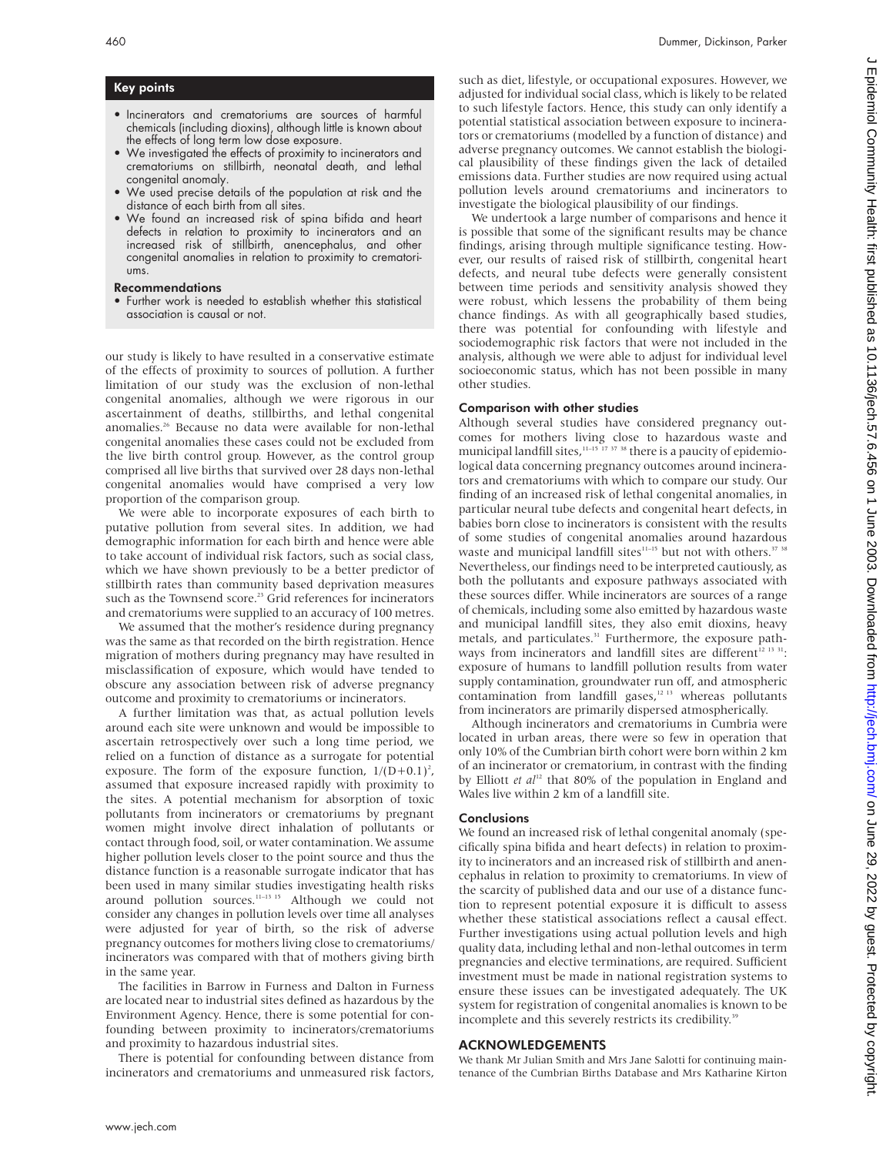# Key points

- Incinerators and crematoriums are sources of harmful chemicals (including dioxins), although little is known about the effects of long term low dose exposure.
- We investigated the effects of proximity to incinerators and crematoriums on stillbirth, neonatal death, and lethal congenital anomaly.
- We used precise details of the population at risk and the distance of each birth from all sites.
- We found an increased risk of spina bifida and heart defects in relation to proximity to incinerators and an increased risk of stillbirth, anencephalus, and other congenital anomalies in relation to proximity to crematoriums.

#### Recommendations

• Further work is needed to establish whether this statistical association is causal or not.

our study is likely to have resulted in a conservative estimate of the effects of proximity to sources of pollution. A further limitation of our study was the exclusion of non-lethal congenital anomalies, although we were rigorous in our ascertainment of deaths, stillbirths, and lethal congenital anomalies.26 Because no data were available for non-lethal congenital anomalies these cases could not be excluded from the live birth control group. However, as the control group comprised all live births that survived over 28 days non-lethal congenital anomalies would have comprised a very low proportion of the comparison group.

We were able to incorporate exposures of each birth to putative pollution from several sites. In addition, we had demographic information for each birth and hence were able to take account of individual risk factors, such as social class, which we have shown previously to be a better predictor of stillbirth rates than community based deprivation measures such as the Townsend score.<sup>23</sup> Grid references for incinerators and crematoriums were supplied to an accuracy of 100 metres.

We assumed that the mother's residence during pregnancy was the same as that recorded on the birth registration. Hence migration of mothers during pregnancy may have resulted in misclassification of exposure, which would have tended to obscure any association between risk of adverse pregnancy outcome and proximity to crematoriums or incinerators.

A further limitation was that, as actual pollution levels around each site were unknown and would be impossible to ascertain retrospectively over such a long time period, we relied on a function of distance as a surrogate for potential exposure. The form of the exposure function,  $1/(D+0.1)^2$ , assumed that exposure increased rapidly with proximity to the sites. A potential mechanism for absorption of toxic pollutants from incinerators or crematoriums by pregnant women might involve direct inhalation of pollutants or contact through food, soil, or water contamination. We assume higher pollution levels closer to the point source and thus the distance function is a reasonable surrogate indicator that has been used in many similar studies investigating health risks around pollution sources.<sup>11–13 15</sup> Although we could not consider any changes in pollution levels over time all analyses were adjusted for year of birth, so the risk of adverse pregnancy outcomes for mothers living close to crematoriums/ incinerators was compared with that of mothers giving birth in the same year.

The facilities in Barrow in Furness and Dalton in Furness are located near to industrial sites defined as hazardous by the Environment Agency. Hence, there is some potential for confounding between proximity to incinerators/crematoriums and proximity to hazardous industrial sites.

There is potential for confounding between distance from incinerators and crematoriums and unmeasured risk factors, such as diet, lifestyle, or occupational exposures. However, we adjusted for individual social class, which is likely to be related to such lifestyle factors. Hence, this study can only identify a potential statistical association between exposure to incinerators or crematoriums (modelled by a function of distance) and adverse pregnancy outcomes. We cannot establish the biological plausibility of these findings given the lack of detailed emissions data. Further studies are now required using actual pollution levels around crematoriums and incinerators to investigate the biological plausibility of our findings.

We undertook a large number of comparisons and hence it is possible that some of the significant results may be chance findings, arising through multiple significance testing. However, our results of raised risk of stillbirth, congenital heart defects, and neural tube defects were generally consistent between time periods and sensitivity analysis showed they were robust, which lessens the probability of them being chance findings. As with all geographically based studies, there was potential for confounding with lifestyle and sociodemographic risk factors that were not included in the analysis, although we were able to adjust for individual level socioeconomic status, which has not been possible in many other studies.

## Comparison with other studies

Although several studies have considered pregnancy outcomes for mothers living close to hazardous waste and municipal landfill sites,  $11-15$  17 37 38 there is a paucity of epidemiological data concerning pregnancy outcomes around incinerators and crematoriums with which to compare our study. Our finding of an increased risk of lethal congenital anomalies, in particular neural tube defects and congenital heart defects, in babies born close to incinerators is consistent with the results of some studies of congenital anomalies around hazardous waste and municipal landfill sites<sup>11-15</sup> but not with others.<sup>37</sup> <sup>38</sup> Nevertheless, our findings need to be interpreted cautiously, as both the pollutants and exposure pathways associated with these sources differ. While incinerators are sources of a range of chemicals, including some also emitted by hazardous waste and municipal landfill sites, they also emit dioxins, heavy metals, and particulates.<sup>31</sup> Furthermore, the exposure pathways from incinerators and landfill sites are different<sup>12 13 31</sup>: exposure of humans to landfill pollution results from water supply contamination, groundwater run off, and atmospheric contamination from landfill gases,<sup>12 13</sup> whereas pollutants from incinerators are primarily dispersed atmospherically.

Although incinerators and crematoriums in Cumbria were located in urban areas, there were so few in operation that only 10% of the Cumbrian birth cohort were born within 2 km of an incinerator or crematorium, in contrast with the finding by Elliott *et al*<sup>12</sup> that 80% of the population in England and Wales live within 2 km of a landfill site.

## **Conclusions**

We found an increased risk of lethal congenital anomaly (specifically spina bifida and heart defects) in relation to proximity to incinerators and an increased risk of stillbirth and anencephalus in relation to proximity to crematoriums. In view of the scarcity of published data and our use of a distance function to represent potential exposure it is difficult to assess whether these statistical associations reflect a causal effect. Further investigations using actual pollution levels and high quality data, including lethal and non-lethal outcomes in term pregnancies and elective terminations, are required. Sufficient investment must be made in national registration systems to ensure these issues can be investigated adequately. The UK system for registration of congenital anomalies is known to be incomplete and this severely restricts its credibility.<sup>39</sup>

# ACKNOWLEDGEMENTS

We thank Mr Julian Smith and Mrs Jane Salotti for continuing maintenance of the Cumbrian Births Database and Mrs Katharine Kirton